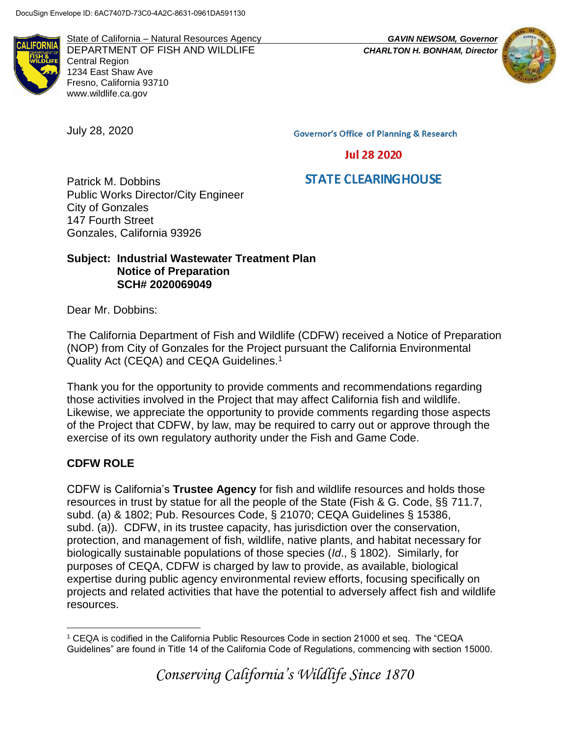

State of California – Natural Resources Agency *GAVIN NEWSOM, Governor* DEPARTMENT OF FISH AND WILDLIFE *CHARLTON H. BONHAM, Director* Central Region 1234 East Shaw Ave Fresno, California 93710 www.wildlife.ca.gov

July 28, 2020



**Governor's Office of Planning & Research** 

**Jul 28 2020** 

# **STATE CLEARING HOUSE**

Patrick M. Dobbins Public Works Director/City Engineer City of Gonzales 147 Fourth Street Gonzales, California 93926

#### **Subject: Industrial Wastewater Treatment Plan Notice of Preparation SCH# 2020069049**

Dear Mr. Dobbins:

The California Department of Fish and Wildlife (CDFW) received a Notice of Preparation (NOP) from City of Gonzales for the Project pursuant the California Environmental Quality Act (CEQA) and CEQA Guidelines.<sup>1</sup>

Thank you for the opportunity to provide comments and recommendations regarding those activities involved in the Project that may affect California fish and wildlife. Likewise, we appreciate the opportunity to provide comments regarding those aspects of the Project that CDFW, by law, may be required to carry out or approve through the exercise of its own regulatory authority under the Fish and Game Code.

### **CDFW ROLE**

CDFW is California's **Trustee Agency** for fish and wildlife resources and holds those resources in trust by statue for all the people of the State (Fish & G. Code, §§ 711.7, subd. (a) & 1802; Pub. Resources Code, § 21070; CEQA Guidelines § 15386, subd. (a)). CDFW, in its trustee capacity, has jurisdiction over the conservation, protection, and management of fish, wildlife, native plants, and habitat necessary for biologically sustainable populations of those species (*Id*., § 1802). Similarly, for purposes of CEQA, CDFW is charged by law to provide, as available, biological expertise during public agency environmental review efforts, focusing specifically on projects and related activities that have the potential to adversely affect fish and wildlife resources.

*Conserving California's Wildlife Since 1870*

 $\overline{a}$ <sup>1</sup> CEQA is codified in the California Public Resources Code in section 21000 et seq. The "CEQA Guidelines" are found in Title 14 of the California Code of Regulations, commencing with section 15000.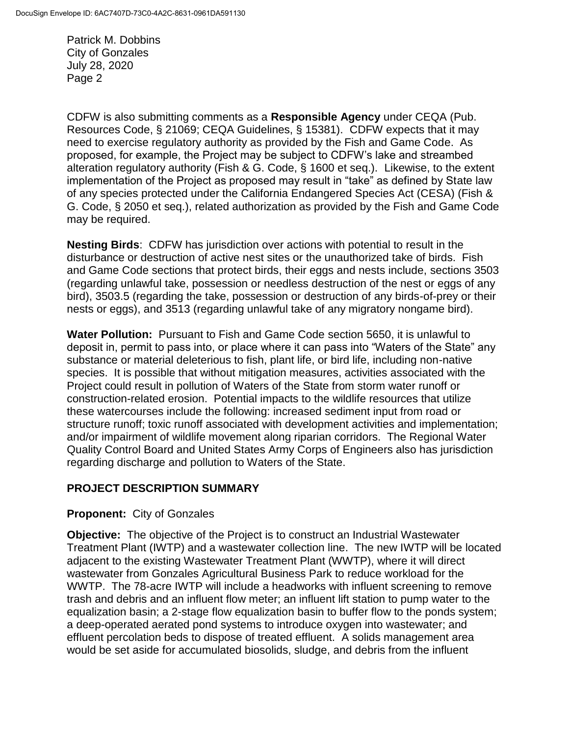CDFW is also submitting comments as a **Responsible Agency** under CEQA (Pub. Resources Code, § 21069; CEQA Guidelines, § 15381). CDFW expects that it may need to exercise regulatory authority as provided by the Fish and Game Code. As proposed, for example, the Project may be subject to CDFW's lake and streambed alteration regulatory authority (Fish & G. Code, § 1600 et seq.). Likewise, to the extent implementation of the Project as proposed may result in "take" as defined by State law of any species protected under the California Endangered Species Act (CESA) (Fish & G. Code, § 2050 et seq.), related authorization as provided by the Fish and Game Code may be required.

**Nesting Birds**: CDFW has jurisdiction over actions with potential to result in the disturbance or destruction of active nest sites or the unauthorized take of birds. Fish and Game Code sections that protect birds, their eggs and nests include, sections 3503 (regarding unlawful take, possession or needless destruction of the nest or eggs of any bird), 3503.5 (regarding the take, possession or destruction of any birds-of-prey or their nests or eggs), and 3513 (regarding unlawful take of any migratory nongame bird).

**Water Pollution:** Pursuant to Fish and Game Code section 5650, it is unlawful to deposit in, permit to pass into, or place where it can pass into "Waters of the State" any substance or material deleterious to fish, plant life, or bird life, including non-native species. It is possible that without mitigation measures, activities associated with the Project could result in pollution of Waters of the State from storm water runoff or construction-related erosion. Potential impacts to the wildlife resources that utilize these watercourses include the following: increased sediment input from road or structure runoff; toxic runoff associated with development activities and implementation; and/or impairment of wildlife movement along riparian corridors. The Regional Water Quality Control Board and United States Army Corps of Engineers also has jurisdiction regarding discharge and pollution to Waters of the State.

## **PROJECT DESCRIPTION SUMMARY**

### **Proponent:** City of Gonzales

**Objective:** The objective of the Project is to construct an Industrial Wastewater Treatment Plant (IWTP) and a wastewater collection line. The new IWTP will be located adjacent to the existing Wastewater Treatment Plant (WWTP), where it will direct wastewater from Gonzales Agricultural Business Park to reduce workload for the WWTP. The 78-acre IWTP will include a headworks with influent screening to remove trash and debris and an influent flow meter; an influent lift station to pump water to the equalization basin; a 2-stage flow equalization basin to buffer flow to the ponds system; a deep-operated aerated pond systems to introduce oxygen into wastewater; and effluent percolation beds to dispose of treated effluent. A solids management area would be set aside for accumulated biosolids, sludge, and debris from the influent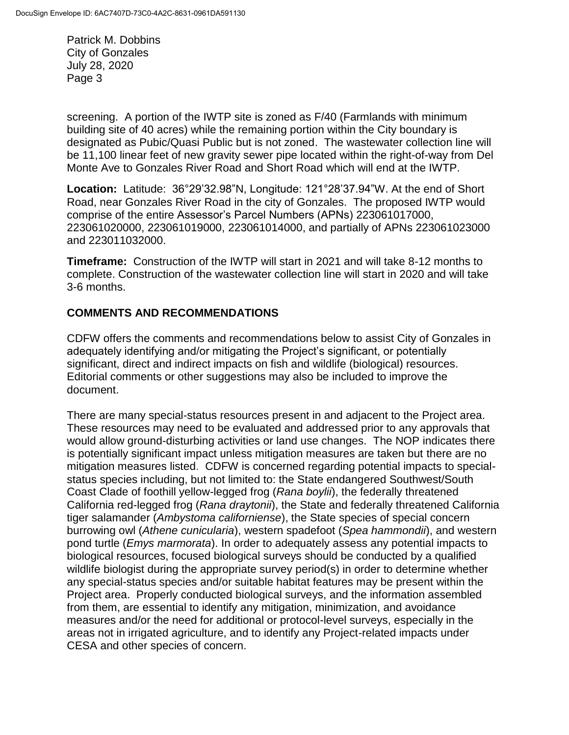screening. A portion of the IWTP site is zoned as F/40 (Farmlands with minimum building site of 40 acres) while the remaining portion within the City boundary is designated as Pubic/Quasi Public but is not zoned. The wastewater collection line will be 11,100 linear feet of new gravity sewer pipe located within the right-of-way from Del Monte Ave to Gonzales River Road and Short Road which will end at the IWTP.

**Location:** Latitude: 36°29'32.98"N, Longitude: 121°28'37.94"W. At the end of Short Road, near Gonzales River Road in the city of Gonzales. The proposed IWTP would comprise of the entire Assessor's Parcel Numbers (APNs) 223061017000, 223061020000, 223061019000, 223061014000, and partially of APNs 223061023000 and 223011032000.

**Timeframe:** Construction of the IWTP will start in 2021 and will take 8-12 months to complete. Construction of the wastewater collection line will start in 2020 and will take 3-6 months.

## **COMMENTS AND RECOMMENDATIONS**

CDFW offers the comments and recommendations below to assist City of Gonzales in adequately identifying and/or mitigating the Project's significant, or potentially significant, direct and indirect impacts on fish and wildlife (biological) resources. Editorial comments or other suggestions may also be included to improve the document.

There are many special-status resources present in and adjacent to the Project area. These resources may need to be evaluated and addressed prior to any approvals that would allow ground-disturbing activities or land use changes. The NOP indicates there is potentially significant impact unless mitigation measures are taken but there are no mitigation measures listed. CDFW is concerned regarding potential impacts to specialstatus species including, but not limited to: the State endangered Southwest/South Coast Clade of foothill yellow-legged frog (*Rana boylii*), the federally threatened California red-legged frog (*Rana draytonii*), the State and federally threatened California tiger salamander (*Ambystoma californiense*), the State species of special concern burrowing owl (*Athene cunicularia*), western spadefoot (*Spea hammondii*), and western pond turtle (*Emys marmorata*). In order to adequately assess any potential impacts to biological resources, focused biological surveys should be conducted by a qualified wildlife biologist during the appropriate survey period(s) in order to determine whether any special-status species and/or suitable habitat features may be present within the Project area. Properly conducted biological surveys, and the information assembled from them, are essential to identify any mitigation, minimization, and avoidance measures and/or the need for additional or protocol-level surveys, especially in the areas not in irrigated agriculture, and to identify any Project-related impacts under CESA and other species of concern.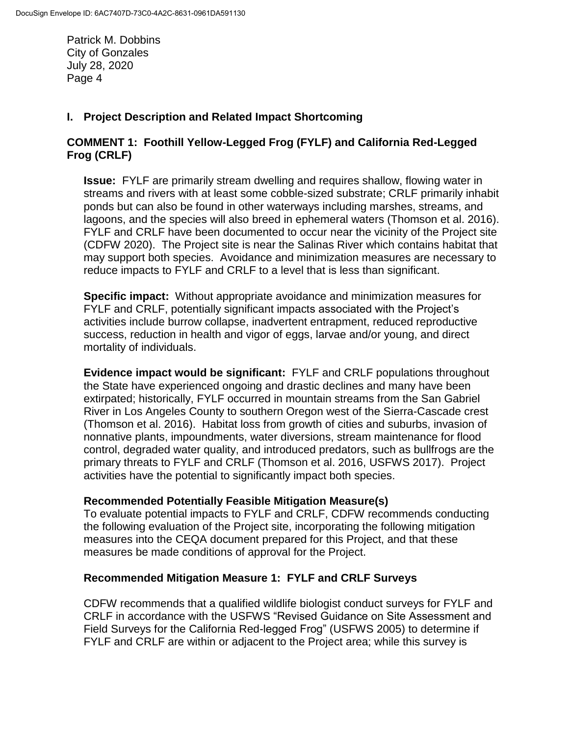## **I. Project Description and Related Impact Shortcoming**

## **COMMENT 1: Foothill Yellow-Legged Frog (FYLF) and California Red-Legged Frog (CRLF)**

**Issue:** FYLF are primarily stream dwelling and requires shallow, flowing water in streams and rivers with at least some cobble-sized substrate; CRLF primarily inhabit ponds but can also be found in other waterways including marshes, streams, and lagoons, and the species will also breed in ephemeral waters (Thomson et al. 2016). FYLF and CRLF have been documented to occur near the vicinity of the Project site (CDFW 2020). The Project site is near the Salinas River which contains habitat that may support both species. Avoidance and minimization measures are necessary to reduce impacts to FYLF and CRLF to a level that is less than significant.

**Specific impact:** Without appropriate avoidance and minimization measures for FYLF and CRLF, potentially significant impacts associated with the Project's activities include burrow collapse, inadvertent entrapment, reduced reproductive success, reduction in health and vigor of eggs, larvae and/or young, and direct mortality of individuals.

**Evidence impact would be significant:** FYLF and CRLF populations throughout the State have experienced ongoing and drastic declines and many have been extirpated; historically, FYLF occurred in mountain streams from the San Gabriel River in Los Angeles County to southern Oregon west of the Sierra-Cascade crest (Thomson et al. 2016). Habitat loss from growth of cities and suburbs, invasion of nonnative plants, impoundments, water diversions, stream maintenance for flood control, degraded water quality, and introduced predators, such as bullfrogs are the primary threats to FYLF and CRLF (Thomson et al. 2016, USFWS 2017). Project activities have the potential to significantly impact both species.

### **Recommended Potentially Feasible Mitigation Measure(s)**

To evaluate potential impacts to FYLF and CRLF, CDFW recommends conducting the following evaluation of the Project site, incorporating the following mitigation measures into the CEQA document prepared for this Project, and that these measures be made conditions of approval for the Project.

## **Recommended Mitigation Measure 1: FYLF and CRLF Surveys**

CDFW recommends that a qualified wildlife biologist conduct surveys for FYLF and CRLF in accordance with the [USFWS](http://www.fws.gov/southwest/es/oklahoma/documents/te_species/wind%20power/usfws_interim_goea_monitoring_protocol_10march2010.pdf) "Revised Guidance on Site Assessment and Field Surveys for the California Red-legged Frog" (USFWS 2005) to determine if FYLF and CRLF are within or adjacent to the Project area; while this survey is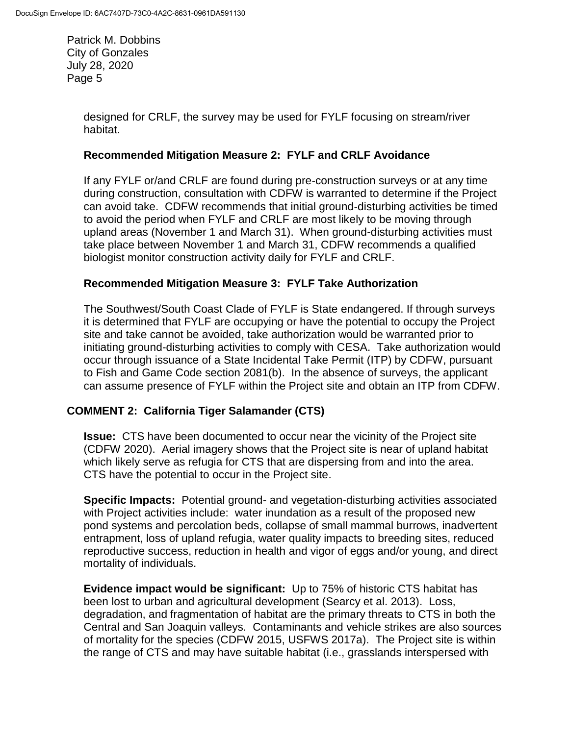> designed for CRLF, the survey may be used for FYLF focusing on stream/river habitat.

#### **Recommended Mitigation Measure 2: FYLF and CRLF Avoidance**

If any FYLF or/and CRLF are found during pre-construction surveys or at any time during construction, consultation with CDFW is warranted to determine if the Project can avoid take. CDFW recommends that initial ground-disturbing activities be timed to avoid the period when FYLF and CRLF are most likely to be moving through upland areas (November 1 and March 31). When ground-disturbing activities must take place between November 1 and March 31, CDFW recommends a qualified biologist monitor construction activity daily for FYLF and CRLF.

#### **Recommended Mitigation Measure 3: FYLF Take Authorization**

The Southwest/South Coast Clade of FYLF is State endangered. If through surveys it is determined that FYLF are occupying or have the potential to occupy the Project site and take cannot be avoided, take authorization would be warranted prior to initiating ground-disturbing activities to comply with CESA. Take authorization would occur through issuance of a State Incidental Take Permit (ITP) by CDFW, pursuant to Fish and Game Code section 2081(b). In the absence of surveys, the applicant can assume presence of FYLF within the Project site and obtain an ITP from CDFW.

### **COMMENT 2: California Tiger Salamander (CTS)**

**Issue:** CTS have been documented to occur near the vicinity of the Project site (CDFW 2020). Aerial imagery shows that the Project site is near of upland habitat which likely serve as refugia for CTS that are dispersing from and into the area. CTS have the potential to occur in the Project site.

**Specific Impacts:** Potential ground- and vegetation-disturbing activities associated with Project activities include: water inundation as a result of the proposed new pond systems and percolation beds, collapse of small mammal burrows, inadvertent entrapment, loss of upland refugia, water quality impacts to breeding sites, reduced reproductive success, reduction in health and vigor of eggs and/or young, and direct mortality of individuals.

**Evidence impact would be significant:** Up to 75% of historic CTS habitat has been lost to urban and agricultural development (Searcy et al. 2013). Loss, degradation, and fragmentation of habitat are the primary threats to CTS in both the Central and San Joaquin valleys. Contaminants and vehicle strikes are also sources of mortality for the species (CDFW 2015, USFWS 2017a). The Project site is within the range of CTS and may have suitable habitat (i.e., grasslands interspersed with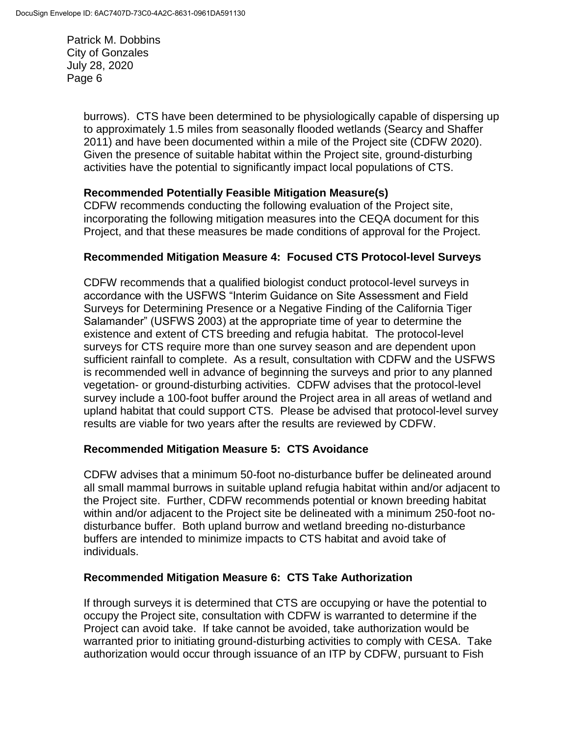> burrows). CTS have been determined to be physiologically capable of dispersing up to approximately 1.5 miles from seasonally flooded wetlands (Searcy and Shaffer 2011) and have been documented within a mile of the Project site (CDFW 2020). Given the presence of suitable habitat within the Project site, ground-disturbing activities have the potential to significantly impact local populations of CTS.

### **Recommended Potentially Feasible Mitigation Measure(s)**

CDFW recommends conducting the following evaluation of the Project site, incorporating the following mitigation measures into the CEQA document for this Project, and that these measures be made conditions of approval for the Project.

## **Recommended Mitigation Measure 4: Focused CTS Protocol-level Surveys**

CDFW recommends that a qualified biologist conduct protocol-level surveys in accordance with the USFWS "Interim Guidance on Site Assessment and Field Surveys for Determining Presence or a Negative Finding of the California Tiger Salamander" (USFWS 2003) at the appropriate time of year to determine the existence and extent of CTS breeding and refugia habitat. The protocol-level surveys for CTS require more than one survey season and are dependent upon sufficient rainfall to complete. As a result, consultation with CDFW and the USFWS is recommended well in advance of beginning the surveys and prior to any planned vegetation- or ground-disturbing activities. CDFW advises that the protocol-level survey include a 100-foot buffer around the Project area in all areas of wetland and upland habitat that could support CTS. Please be advised that protocol-level survey results are viable for two years after the results are reviewed by CDFW.

### **Recommended Mitigation Measure 5: CTS Avoidance**

CDFW advises that a minimum 50-foot no-disturbance buffer be delineated around all small mammal burrows in suitable upland refugia habitat within and/or adjacent to the Project site. Further, CDFW recommends potential or known breeding habitat within and/or adjacent to the Project site be delineated with a minimum 250-foot nodisturbance buffer. Both upland burrow and wetland breeding no-disturbance buffers are intended to minimize impacts to CTS habitat and avoid take of individuals.

## **Recommended Mitigation Measure 6: CTS Take Authorization**

If through surveys it is determined that CTS are occupying or have the potential to occupy the Project site, consultation with CDFW is warranted to determine if the Project can avoid take. If take cannot be avoided, take authorization would be warranted prior to initiating ground-disturbing activities to comply with CESA. Take authorization would occur through issuance of an ITP by CDFW, pursuant to Fish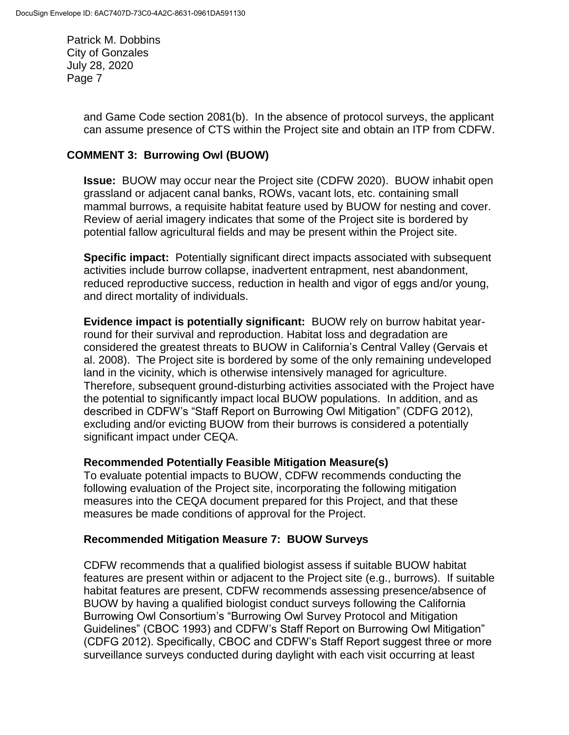> and Game Code section 2081(b). In the absence of protocol surveys, the applicant can assume presence of CTS within the Project site and obtain an ITP from CDFW.

## **COMMENT 3: Burrowing Owl (BUOW)**

**Issue:** BUOW may occur near the Project site (CDFW 2020). BUOW inhabit open grassland or adjacent canal banks, ROWs, vacant lots, etc. containing small mammal burrows, a requisite habitat feature used by BUOW for nesting and cover. Review of aerial imagery indicates that some of the Project site is bordered by potential fallow agricultural fields and may be present within the Project site.

**Specific impact:** Potentially significant direct impacts associated with subsequent activities include burrow collapse, inadvertent entrapment, nest abandonment, reduced reproductive success, reduction in health and vigor of eggs and/or young, and direct mortality of individuals.

**Evidence impact is potentially significant:** BUOW rely on burrow habitat yearround for their survival and reproduction. Habitat loss and degradation are considered the greatest threats to BUOW in California's Central Valley (Gervais et al. 2008). The Project site is bordered by some of the only remaining undeveloped land in the vicinity, which is otherwise intensively managed for agriculture. Therefore, subsequent ground-disturbing activities associated with the Project have the potential to significantly impact local BUOW populations. In addition, and as described in CDFW's "Staff Report on Burrowing Owl Mitigation" (CDFG 2012), excluding and/or evicting BUOW from their burrows is considered a potentially significant impact under CEQA.

### **Recommended Potentially Feasible Mitigation Measure(s)**

To evaluate potential impacts to BUOW, CDFW recommends conducting the following evaluation of the Project site, incorporating the following mitigation measures into the CEQA document prepared for this Project, and that these measures be made conditions of approval for the Project.

### **Recommended Mitigation Measure 7: BUOW Surveys**

CDFW recommends that a qualified biologist assess if suitable BUOW habitat features are present within or adjacent to the Project site (e.g., burrows). If suitable habitat features are present, CDFW recommends assessing presence/absence of BUOW by having a qualified biologist conduct surveys following the California Burrowing Owl Consortium's "Burrowing Owl Survey Protocol and Mitigation Guidelines" (CBOC 1993) and CDFW's Staff Report on Burrowing Owl Mitigation" (CDFG 2012). Specifically, CBOC and CDFW's Staff Report suggest three or more surveillance surveys conducted during daylight with each visit occurring at least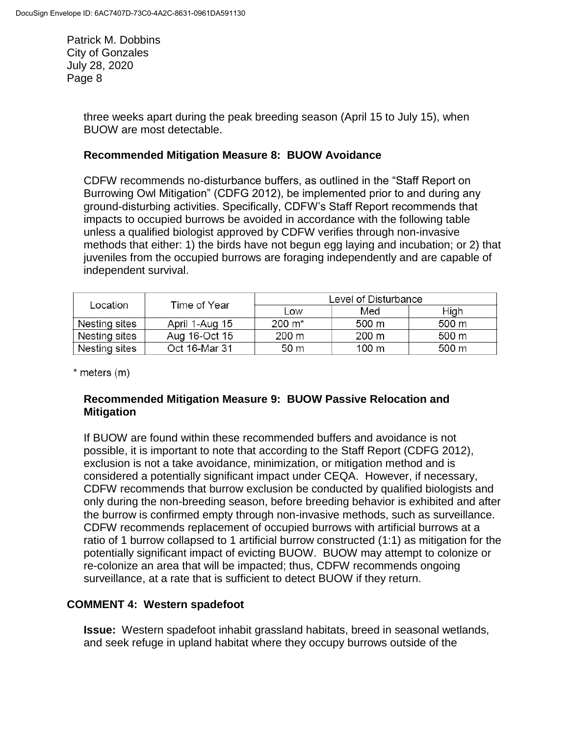> three weeks apart during the peak breeding season (April 15 to July 15), when BUOW are most detectable.

#### **Recommended Mitigation Measure 8: BUOW Avoidance**

CDFW recommends no-disturbance buffers, as outlined in the "Staff Report on Burrowing Owl Mitigation" (CDFG 2012), be implemented prior to and during any ground-disturbing activities. Specifically, CDFW's Staff Report recommends that impacts to occupied burrows be avoided in accordance with the following table unless a qualified biologist approved by CDFW verifies through non-invasive methods that either: 1) the birds have not begun egg laying and incubation; or 2) that juveniles from the occupied burrows are foraging independently and are capable of independent survival.

| Location      | Time of Year   | Level of Disturbance |                 |       |
|---------------|----------------|----------------------|-----------------|-------|
|               |                | Low                  | Med             | High  |
| Nesting sites | April 1-Aug 15 | $200 \; \text{m}^*$  | 500 m           | 500 m |
| Nesting sites | Aug 16-Oct 15  | 200 m                | $200 \text{ m}$ | 500 m |
| Nesting sites | Oct 16-Mar 31  | 50 m                 | 100 m           | 500 m |

\* meters (m)

#### **Recommended Mitigation Measure 9: BUOW Passive Relocation and Mitigation**

If BUOW are found within these recommended buffers and avoidance is not possible, it is important to note that according to the Staff Report (CDFG 2012), exclusion is not a take avoidance, minimization, or mitigation method and is considered a potentially significant impact under CEQA. However, if necessary, CDFW recommends that burrow exclusion be conducted by qualified biologists and only during the non-breeding season, before breeding behavior is exhibited and after the burrow is confirmed empty through non-invasive methods, such as surveillance. CDFW recommends replacement of occupied burrows with artificial burrows at a ratio of 1 burrow collapsed to 1 artificial burrow constructed (1:1) as mitigation for the potentially significant impact of evicting BUOW. BUOW may attempt to colonize or re-colonize an area that will be impacted; thus, CDFW recommends ongoing surveillance, at a rate that is sufficient to detect BUOW if they return.

### **COMMENT 4: Western spadefoot**

**Issue:** Western spadefoot inhabit grassland habitats, breed in seasonal wetlands, and seek refuge in upland habitat where they occupy burrows outside of the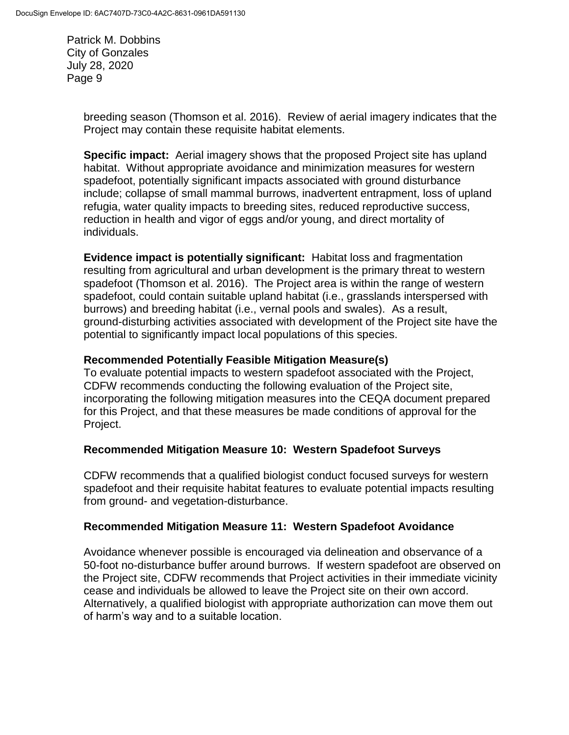> breeding season (Thomson et al. 2016). Review of aerial imagery indicates that the Project may contain these requisite habitat elements.

**Specific impact:** Aerial imagery shows that the proposed Project site has upland habitat. Without appropriate avoidance and minimization measures for western spadefoot, potentially significant impacts associated with ground disturbance include; collapse of small mammal burrows, inadvertent entrapment, loss of upland refugia, water quality impacts to breeding sites, reduced reproductive success, reduction in health and vigor of eggs and/or young, and direct mortality of individuals.

**Evidence impact is potentially significant:** Habitat loss and fragmentation resulting from agricultural and urban development is the primary threat to western spadefoot (Thomson et al. 2016). The Project area is within the range of western spadefoot, could contain suitable upland habitat (i.e., grasslands interspersed with burrows) and breeding habitat (i.e., vernal pools and swales). As a result, ground-disturbing activities associated with development of the Project site have the potential to significantly impact local populations of this species.

### **Recommended Potentially Feasible Mitigation Measure(s)**

To evaluate potential impacts to western spadefoot associated with the Project, CDFW recommends conducting the following evaluation of the Project site, incorporating the following mitigation measures into the CEQA document prepared for this Project, and that these measures be made conditions of approval for the Project.

### **Recommended Mitigation Measure 10: Western Spadefoot Surveys**

CDFW recommends that a qualified biologist conduct focused surveys for western spadefoot and their requisite habitat features to evaluate potential impacts resulting from ground- and vegetation-disturbance.

### **Recommended Mitigation Measure 11: Western Spadefoot Avoidance**

Avoidance whenever possible is encouraged via delineation and observance of a 50-foot no-disturbance buffer around burrows. If western spadefoot are observed on the Project site, CDFW recommends that Project activities in their immediate vicinity cease and individuals be allowed to leave the Project site on their own accord. Alternatively, a qualified biologist with appropriate authorization can move them out of harm's way and to a suitable location.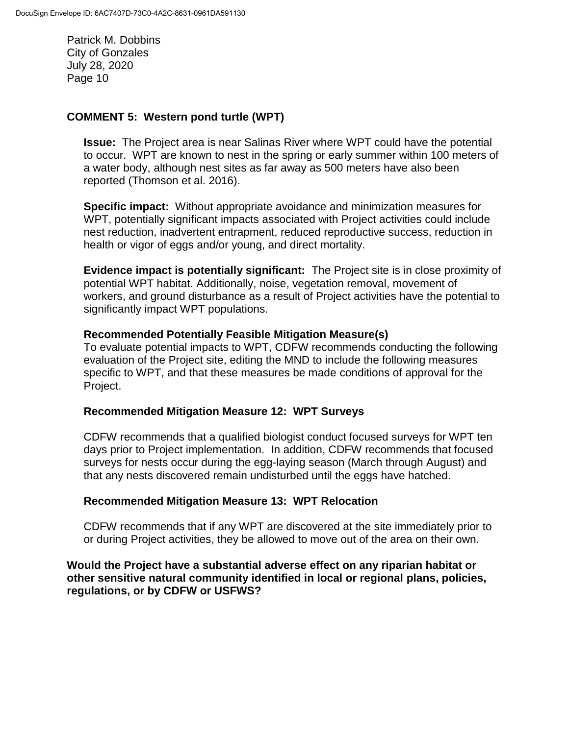#### **COMMENT 5: Western pond turtle (WPT)**

**Issue:** The Project area is near Salinas River where WPT could have the potential to occur. WPT are known to nest in the spring or early summer within 100 meters of a water body, although nest sites as far away as 500 meters have also been reported (Thomson et al. 2016).

**Specific impact:** Without appropriate avoidance and minimization measures for WPT, potentially significant impacts associated with Project activities could include nest reduction, inadvertent entrapment, reduced reproductive success, reduction in health or vigor of eggs and/or young, and direct mortality.

**Evidence impact is potentially significant:** The Project site is in close proximity of potential WPT habitat. Additionally, noise, vegetation removal, movement of workers, and ground disturbance as a result of Project activities have the potential to significantly impact WPT populations.

#### **Recommended Potentially Feasible Mitigation Measure(s)**

To evaluate potential impacts to WPT, CDFW recommends conducting the following evaluation of the Project site, editing the MND to include the following measures specific to WPT, and that these measures be made conditions of approval for the Project.

#### **Recommended Mitigation Measure 12: WPT Surveys**

CDFW recommends that a qualified biologist conduct focused surveys for WPT ten days prior to Project implementation. In addition, CDFW recommends that focused surveys for nests occur during the egg-laying season (March through August) and that any nests discovered remain undisturbed until the eggs have hatched.

#### **Recommended Mitigation Measure 13: WPT Relocation**

CDFW recommends that if any WPT are discovered at the site immediately prior to or during Project activities, they be allowed to move out of the area on their own.

**Would the Project have a substantial adverse effect on any riparian habitat or other sensitive natural community identified in local or regional plans, policies, regulations, or by CDFW or USFWS?**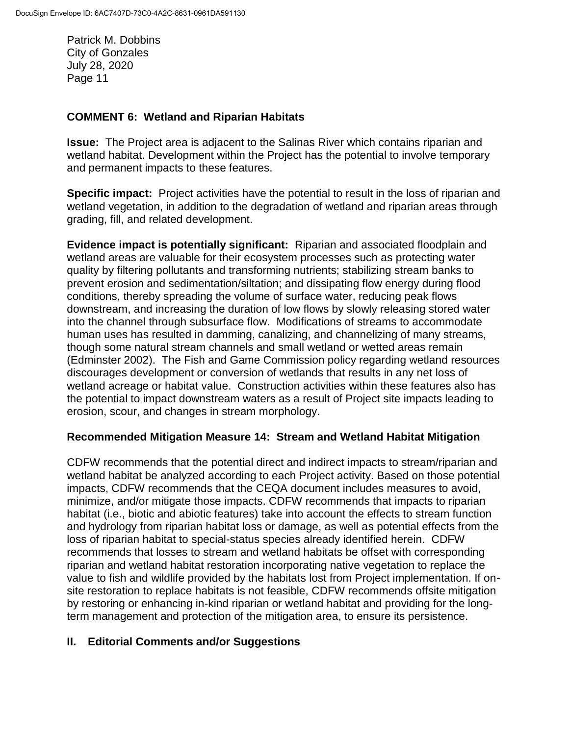#### **COMMENT 6: Wetland and Riparian Habitats**

**Issue:** The Project area is adjacent to the Salinas River which contains riparian and wetland habitat. Development within the Project has the potential to involve temporary and permanent impacts to these features.

**Specific impact:** Project activities have the potential to result in the loss of riparian and wetland vegetation, in addition to the degradation of wetland and riparian areas through grading, fill, and related development.

**Evidence impact is potentially significant:** Riparian and associated floodplain and wetland areas are valuable for their ecosystem processes such as protecting water quality by filtering pollutants and transforming nutrients; stabilizing stream banks to prevent erosion and sedimentation/siltation; and dissipating flow energy during flood conditions, thereby spreading the volume of surface water, reducing peak flows downstream, and increasing the duration of low flows by slowly releasing stored water into the channel through subsurface flow. Modifications of streams to accommodate human uses has resulted in damming, canalizing, and channelizing of many streams, though some natural stream channels and small wetland or wetted areas remain (Edminster 2002). The Fish and Game Commission policy regarding wetland resources discourages development or conversion of wetlands that results in any net loss of wetland acreage or habitat value. Construction activities within these features also has the potential to impact downstream waters as a result of Project site impacts leading to erosion, scour, and changes in stream morphology.

### **Recommended Mitigation Measure 14: Stream and Wetland Habitat Mitigation**

CDFW recommends that the potential direct and indirect impacts to stream/riparian and wetland habitat be analyzed according to each Project activity. Based on those potential impacts, CDFW recommends that the CEQA document includes measures to avoid, minimize, and/or mitigate those impacts. CDFW recommends that impacts to riparian habitat (i.e., biotic and abiotic features) take into account the effects to stream function and hydrology from riparian habitat loss or damage, as well as potential effects from the loss of riparian habitat to special-status species already identified herein. CDFW recommends that losses to stream and wetland habitats be offset with corresponding riparian and wetland habitat restoration incorporating native vegetation to replace the value to fish and wildlife provided by the habitats lost from Project implementation. If onsite restoration to replace habitats is not feasible, CDFW recommends offsite mitigation by restoring or enhancing in-kind riparian or wetland habitat and providing for the longterm management and protection of the mitigation area, to ensure its persistence.

### **II. Editorial Comments and/or Suggestions**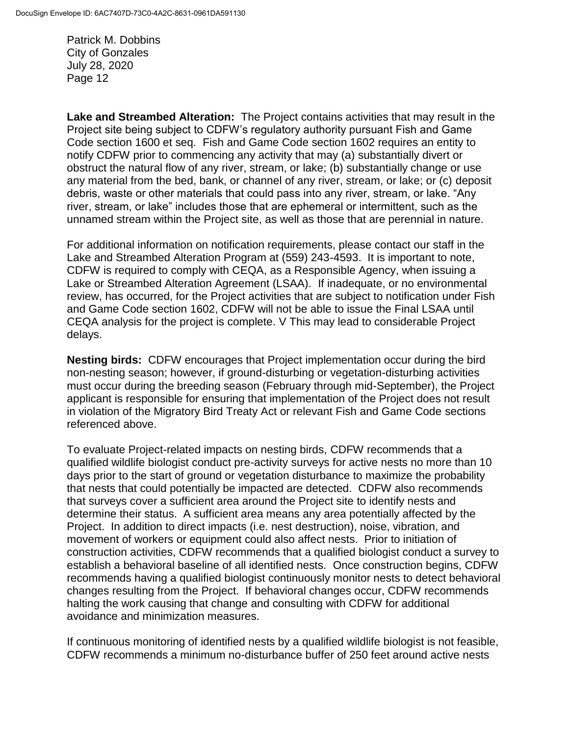**Lake and Streambed Alteration:** The Project contains activities that may result in the Project site being subject to CDFW's regulatory authority pursuant Fish and Game Code section 1600 et seq. Fish and Game Code section 1602 requires an entity to notify CDFW prior to commencing any activity that may (a) substantially divert or obstruct the natural flow of any river, stream, or lake; (b) substantially change or use any material from the bed, bank, or channel of any river, stream, or lake; or (c) deposit debris, waste or other materials that could pass into any river, stream, or lake. "Any river, stream, or lake" includes those that are ephemeral or intermittent, such as the unnamed stream within the Project site, as well as those that are perennial in nature.

For additional information on notification requirements, please contact our staff in the Lake and Streambed Alteration Program at (559) 243-4593. It is important to note, CDFW is required to comply with CEQA, as a Responsible Agency, when issuing a Lake or Streambed Alteration Agreement (LSAA). If inadequate, or no environmental review, has occurred, for the Project activities that are subject to notification under Fish and Game Code section 1602, CDFW will not be able to issue the Final LSAA until CEQA analysis for the project is complete. V This may lead to considerable Project delays.

**Nesting birds:** CDFW encourages that Project implementation occur during the bird non-nesting season; however, if ground-disturbing or vegetation-disturbing activities must occur during the breeding season (February through mid-September), the Project applicant is responsible for ensuring that implementation of the Project does not result in violation of the Migratory Bird Treaty Act or relevant Fish and Game Code sections referenced above.

To evaluate Project-related impacts on nesting birds, CDFW recommends that a qualified wildlife biologist conduct pre-activity surveys for active nests no more than 10 days prior to the start of ground or vegetation disturbance to maximize the probability that nests that could potentially be impacted are detected. CDFW also recommends that surveys cover a sufficient area around the Project site to identify nests and determine their status. A sufficient area means any area potentially affected by the Project. In addition to direct impacts (i.e. nest destruction), noise, vibration, and movement of workers or equipment could also affect nests. Prior to initiation of construction activities, CDFW recommends that a qualified biologist conduct a survey to establish a behavioral baseline of all identified nests. Once construction begins, CDFW recommends having a qualified biologist continuously monitor nests to detect behavioral changes resulting from the Project. If behavioral changes occur, CDFW recommends halting the work causing that change and consulting with CDFW for additional avoidance and minimization measures.

If continuous monitoring of identified nests by a qualified wildlife biologist is not feasible, CDFW recommends a minimum no-disturbance buffer of 250 feet around active nests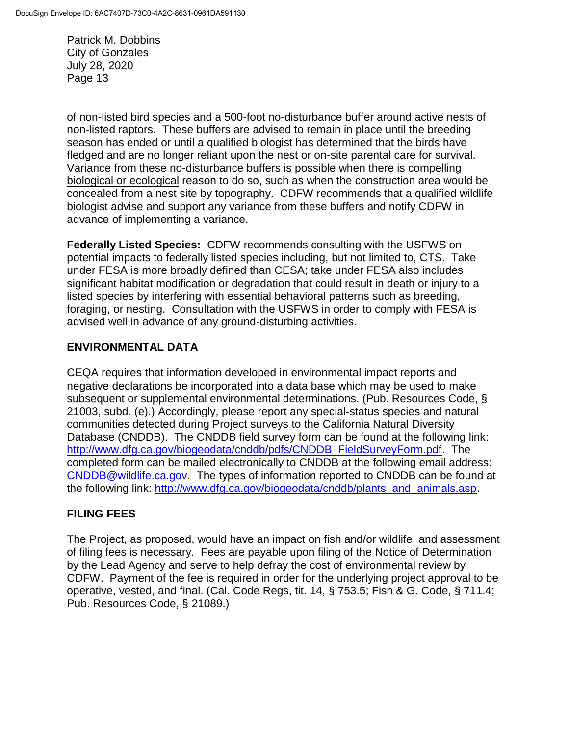of non-listed bird species and a 500-foot no-disturbance buffer around active nests of non-listed raptors. These buffers are advised to remain in place until the breeding season has ended or until a qualified biologist has determined that the birds have fledged and are no longer reliant upon the nest or on-site parental care for survival. Variance from these no-disturbance buffers is possible when there is compelling biological or ecological reason to do so, such as when the construction area would be concealed from a nest site by topography. CDFW recommends that a qualified wildlife biologist advise and support any variance from these buffers and notify CDFW in advance of implementing a variance.

**Federally Listed Species:** CDFW recommends consulting with the USFWS on potential impacts to federally listed species including, but not limited to, CTS. Take under FESA is more broadly defined than CESA; take under FESA also includes significant habitat modification or degradation that could result in death or injury to a listed species by interfering with essential behavioral patterns such as breeding, foraging, or nesting. Consultation with the USFWS in order to comply with FESA is advised well in advance of any ground-disturbing activities.

## **ENVIRONMENTAL DATA**

CEQA requires that information developed in environmental impact reports and negative declarations be incorporated into a data base which may be used to make subsequent or supplemental environmental determinations. (Pub. Resources Code, § 21003, subd. (e).) Accordingly, please report any special-status species and natural communities detected during Project surveys to the California Natural Diversity Database (CNDDB). The CNDDB field survey form can be found at the following link: [http://www.dfg.ca.gov/biogeodata/cnddb/pdfs/CNDDB\\_FieldSurveyForm.pdf.](http://www.dfg.ca.gov/biogeodata/cnddb/pdfs/CNDDB_FieldSurveyForm.pdf) The completed form can be mailed electronically to CNDDB at the following email address: [CNDDB@wildlife.ca.gov.](mailto:cnddb@dfg.ca.gov) The types of information reported to CNDDB can be found at the following link: [http://www.dfg.ca.gov/biogeodata/cnddb/plants\\_and\\_animals.asp.](http://www.dfg.ca.gov/biogeodata/cnddb/plants_and_animals.asp)

## **FILING FEES**

The Project, as proposed, would have an impact on fish and/or wildlife, and assessment of filing fees is necessary. Fees are payable upon filing of the Notice of Determination by the Lead Agency and serve to help defray the cost of environmental review by CDFW. Payment of the fee is required in order for the underlying project approval to be operative, vested, and final. (Cal. Code Regs, tit. 14, § 753.5; Fish & G. Code, § 711.4; Pub. Resources Code, § 21089.)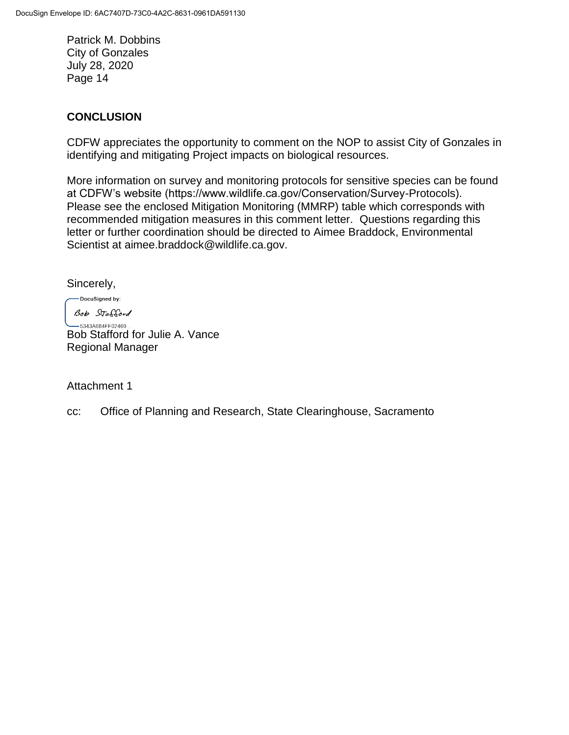## **CONCLUSION**

CDFW appreciates the opportunity to comment on the NOP to assist City of Gonzales in identifying and mitigating Project impacts on biological resources.

More information on survey and monitoring protocols for sensitive species can be found at CDFW's website (https://www.wildlife.ca.gov/Conservation/Survey-Protocols). Please see the enclosed Mitigation Monitoring (MMRP) table which corresponds with recommended mitigation measures in this comment letter. Questions regarding this letter or further coordination should be directed to Aimee Braddock, Environmental Scientist at aimee.braddock@wildlife.ca.gov.

Sincerely,

-DocuSigned by: Bob Stafford  $-5343A684FF02469...$ Bob Stafford for Julie A. Vance Regional Manager

Attachment 1

cc: Office of Planning and Research, State Clearinghouse, Sacramento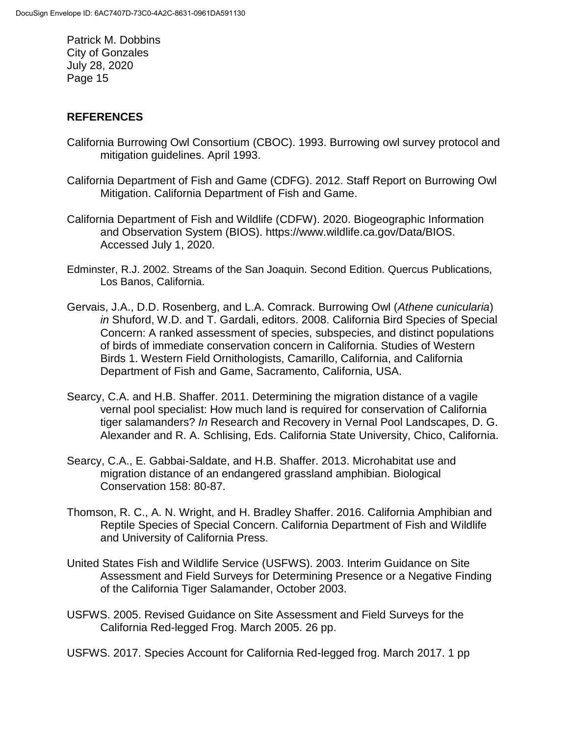## **REFERENCES**

- California Burrowing Owl Consortium (CBOC). 1993. Burrowing owl survey protocol and mitigation guidelines. April 1993.
- California Department of Fish and Game (CDFG). 2012. Staff Report on Burrowing Owl Mitigation. California Department of Fish and Game.
- California Department of Fish and Wildlife (CDFW). 2020. Biogeographic Information and Observation System (BIOS). https://www.wildlife.ca.gov/Data/BIOS. Accessed July 1, 2020.
- Edminster, R.J. 2002. Streams of the San Joaquin. Second Edition. Quercus Publications, Los Banos, California.
- Gervais, J.A., D.D. Rosenberg, and L.A. Comrack. Burrowing Owl (*Athene cunicularia*) *in* Shuford, W.D. and T. Gardali, editors. 2008. California Bird Species of Special Concern: A ranked assessment of species, subspecies, and distinct populations of birds of immediate conservation concern in California. Studies of Western Birds 1. Western Field Ornithologists, Camarillo, California, and California Department of Fish and Game, Sacramento, California, USA.
- Searcy, C.A. and H.B. Shaffer. 2011. Determining the migration distance of a vagile vernal pool specialist: How much land is required for conservation of California tiger salamanders? *In* Research and Recovery in Vernal Pool Landscapes, D. G. Alexander and R. A. Schlising, Eds. California State University, Chico, California.
- Searcy, C.A., E. Gabbai-Saldate, and H.B. Shaffer. 2013. Microhabitat use and migration distance of an endangered grassland amphibian. Biological Conservation 158: 80-87.
- Thomson, R. C., A. N. Wright, and H. Bradley Shaffer. 2016. California Amphibian and Reptile Species of Special Concern. California Department of Fish and Wildlife and University of California Press.
- United States Fish and Wildlife Service (USFWS). 2003. Interim Guidance on Site Assessment and Field Surveys for Determining Presence or a Negative Finding of the California Tiger Salamander, October 2003.
- [USFWS.](http://www.fws.gov/southwest/es/oklahoma/documents/te_species/wind%20power/usfws_interim_goea_monitoring_protocol_10march2010.pdf) 2005. Revised Guidance on Site Assessment and Field Surveys for the California Red-legged Frog. March 2005. 26 pp.
- USFWS. 2017. Species Account for California Red-legged frog. March 2017. 1 pp